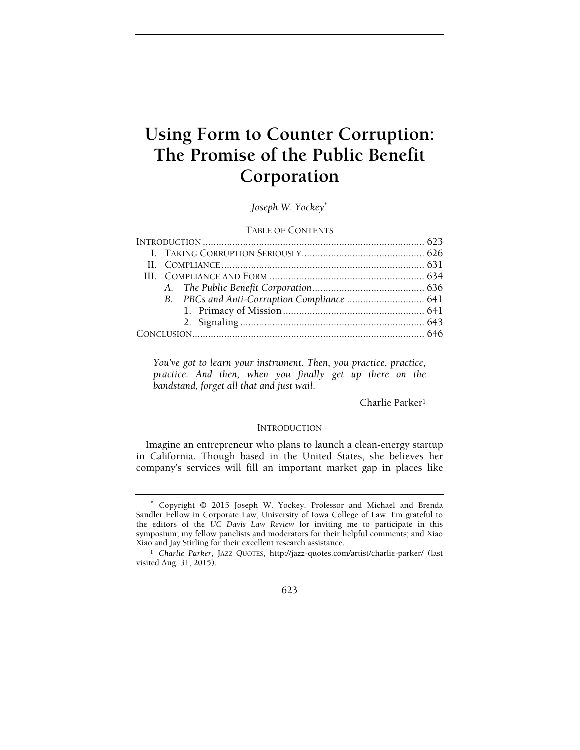# Using Form to Counter Corruption:<br>The Promise of the Public Benefit  $S<sub>1</sub> = 25$  or the Public Benefit  $S<sub>2</sub>$  or  $S<sub>3</sub>$  and  $S<sub>4</sub>$  or  $S<sub>5</sub>$  or  $S<sub>6</sub>$  or  $S<sub>7</sub>$  or  $S<sub>7</sub>$  or  $S<sub>7</sub>$  or  $S<sub>7</sub>$  or  $S<sub>7</sub>$  or  $S<sub>7</sub>$  or  $S<sub>7</sub>$  or  $S<sub>7</sub>$  or Corporation

Joseph W. Yockey<sup>∗</sup>

# TABLE OF CONTENTS

You've got to learn your instrument. Then, you practice, practice, practice. And then, when you finally get up there on the bandstand, forget all that and just wail.

Charlie Parker<sup>1</sup>

# **INTRODUCTION**

Imagine an entrepreneur who plans to launch a clean-energy startup in California. Though based in the United States, she believes her company's services will fill an important market gap in places like

<sup>∗</sup> Copyright © 2015 Joseph W. Yockey. Professor and Michael and Brenda Sandler Fellow in Corporate Law, University of Iowa College of Law. I'm grateful to the editors of the UC Davis Law Review for inviting me to participate in this symposium; my fellow panelists and moderators for their helpful comments; and Xiao Xiao and Jay Stirling for their excellent research assistance.

<sup>1</sup> Charlie Parker, JAZZ QUOTES, http://jazz-quotes.com/artist/charlie-parker/ (last visited Aug. 31, 2015).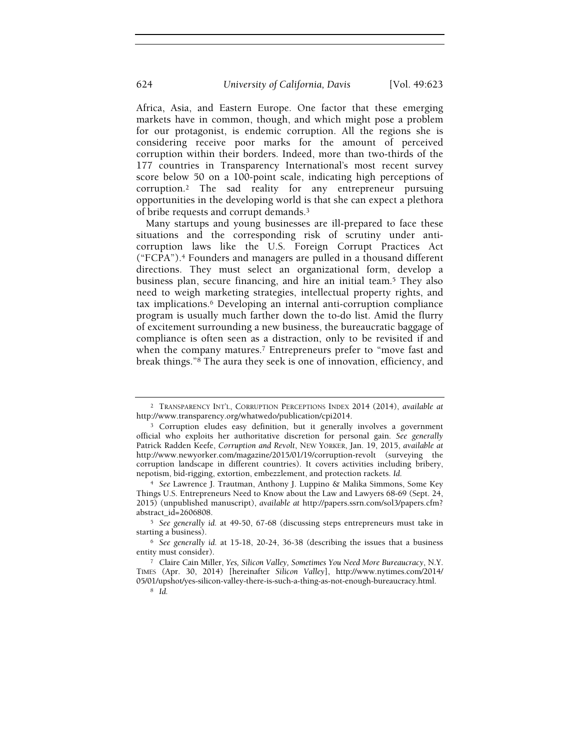Africa, Asia, and Eastern Europe. One factor that these emerging markets have in common, though, and which might pose a problem for our protagonist, is endemic corruption. All the regions she is considering receive poor marks for the amount of perceived corruption within their borders. Indeed, more than two-thirds of the 177 countries in Transparency International's most recent survey score below 50 on a 100-point scale, indicating high perceptions of corruption.2 The sad reality for any entrepreneur pursuing opportunities in the developing world is that she can expect a plethora of bribe requests and corrupt demands.<sup>3</sup>

Many startups and young businesses are ill-prepared to face these situations and the corresponding risk of scrutiny under anticorruption laws like the U.S. Foreign Corrupt Practices Act ("FCPA").4 Founders and managers are pulled in a thousand different directions. They must select an organizational form, develop a business plan, secure financing, and hire an initial team.5 They also need to weigh marketing strategies, intellectual property rights, and tax implications.6 Developing an internal anti-corruption compliance program is usually much farther down the to-do list. Amid the flurry of excitement surrounding a new business, the bureaucratic baggage of compliance is often seen as a distraction, only to be revisited if and when the company matures.<sup>7</sup> Entrepreneurs prefer to "move fast and break things."8 The aura they seek is one of innovation, efficiency, and

<sup>2</sup> TRANSPARENCY INT'L, CORRUPTION PERCEPTIONS INDEX 2014 (2014), available at http://www.transparency.org/whatwedo/publication/cpi2014.

<sup>3</sup> Corruption eludes easy definition, but it generally involves a government official who exploits her authoritative discretion for personal gain. See generally Patrick Radden Keefe, Corruption and Revolt, NEW YORKER, Jan. 19, 2015, available at http://www.newyorker.com/magazine/2015/01/19/corruption-revolt (surveying the corruption landscape in different countries). It covers activities including bribery, nepotism, bid-rigging, extortion, embezzlement, and protection rackets. Id.

<sup>4</sup> See Lawrence J. Trautman, Anthony J. Luppino & Malika Simmons, Some Key Things U.S. Entrepreneurs Need to Know about the Law and Lawyers 68-69 (Sept. 24, 2015) (unpublished manuscript), available at http://papers.ssrn.com/sol3/papers.cfm? abstract\_id=2606808.

<sup>5</sup> See generally id. at 49-50, 67-68 (discussing steps entrepreneurs must take in starting a business).

<sup>6</sup> See generally id. at 15-18, 20-24, 36-38 (describing the issues that a business entity must consider).

<sup>7</sup> Claire Cain Miller, Yes, Silicon Valley, Sometimes You Need More Bureaucracy, N.Y. TIMES (Apr. 30, 2014) [hereinafter Silicon Valley], http://www.nytimes.com/2014/ 05/01/upshot/yes-silicon-valley-there-is-such-a-thing-as-not-enough-bureaucracy.html.

<sup>8</sup> Id.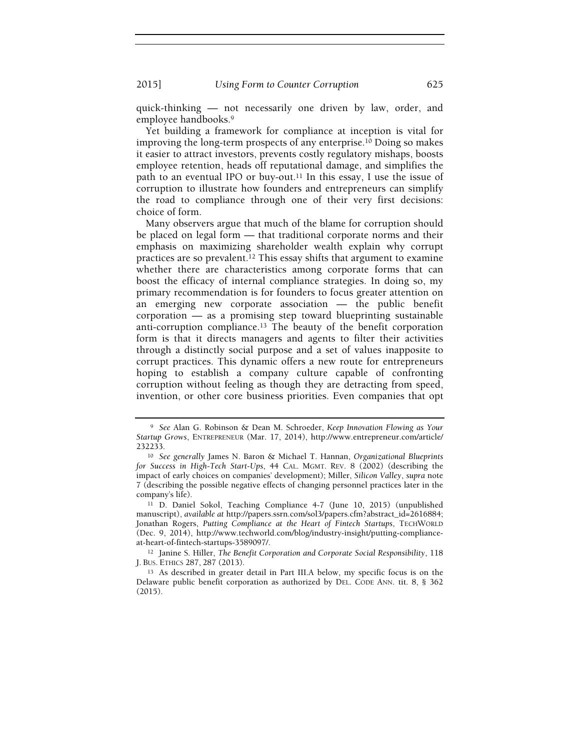quick-thinking — not necessarily one driven by law, order, and employee handbooks.<sup>9</sup>

Yet building a framework for compliance at inception is vital for improving the long-term prospects of any enterprise.10 Doing so makes it easier to attract investors, prevents costly regulatory mishaps, boosts employee retention, heads off reputational damage, and simplifies the path to an eventual IPO or buy-out.<sup>11</sup> In this essay, I use the issue of corruption to illustrate how founders and entrepreneurs can simplify the road to compliance through one of their very first decisions: choice of form.

Many observers argue that much of the blame for corruption should be placed on legal form — that traditional corporate norms and their emphasis on maximizing shareholder wealth explain why corrupt practices are so prevalent.12 This essay shifts that argument to examine whether there are characteristics among corporate forms that can boost the efficacy of internal compliance strategies. In doing so, my primary recommendation is for founders to focus greater attention on an emerging new corporate association — the public benefit corporation — as a promising step toward blueprinting sustainable anti-corruption compliance.13 The beauty of the benefit corporation form is that it directs managers and agents to filter their activities through a distinctly social purpose and a set of values inapposite to corrupt practices. This dynamic offers a new route for entrepreneurs hoping to establish a company culture capable of confronting corruption without feeling as though they are detracting from speed, invention, or other core business priorities. Even companies that opt

<sup>9</sup> See Alan G. Robinson & Dean M. Schroeder, Keep Innovation Flowing as Your Startup Grows, ENTREPRENEUR (Mar. 17, 2014), http://www.entrepreneur.com/article/ 232233.

<sup>10</sup> See generally James N. Baron & Michael T. Hannan, Organizational Blueprints for Success in High-Tech Start-Ups, 44 CAL. MGMT. REV. 8 (2002) (describing the impact of early choices on companies' development); Miller, Silicon Valley, supra note 7 (describing the possible negative effects of changing personnel practices later in the company's life).

<sup>11</sup> D. Daniel Sokol, Teaching Compliance 4-7 (June 10, 2015) (unpublished manuscript), available at http://papers.ssrn.com/sol3/papers.cfm?abstract\_id=2616884; Jonathan Rogers, Putting Compliance at the Heart of Fintech Startups, TECHWORLD (Dec. 9, 2014), http://www.techworld.com/blog/industry-insight/putting-complianceat-heart-of-fintech-startups-3589097/.

<sup>12</sup> Janine S. Hiller, The Benefit Corporation and Corporate Social Responsibility, 118 J. BUS. ETHICS 287, 287 (2013).

<sup>13</sup> As described in greater detail in Part III.A below, my specific focus is on the Delaware public benefit corporation as authorized by DEL. CODE ANN. tit. 8, § 362 (2015).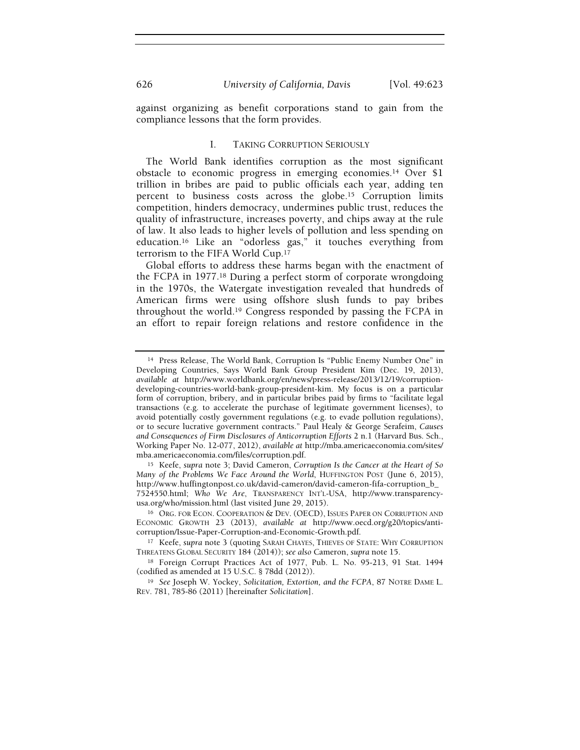against organizing as benefit corporations stand to gain from the compliance lessons that the form provides.

#### I. TAKING CORRUPTION SERIOUSLY

The World Bank identifies corruption as the most significant obstacle to economic progress in emerging economies.14 Over \$1 trillion in bribes are paid to public officials each year, adding ten percent to business costs across the globe.15 Corruption limits competition, hinders democracy, undermines public trust, reduces the quality of infrastructure, increases poverty, and chips away at the rule of law. It also leads to higher levels of pollution and less spending on education.16 Like an "odorless gas," it touches everything from terrorism to the FIFA World Cup.<sup>17</sup>

Global efforts to address these harms began with the enactment of the FCPA in 1977.18 During a perfect storm of corporate wrongdoing in the 1970s, the Watergate investigation revealed that hundreds of American firms were using offshore slush funds to pay bribes throughout the world.19 Congress responded by passing the FCPA in an effort to repair foreign relations and restore confidence in the

<sup>14</sup> Press Release, The World Bank, Corruption Is "Public Enemy Number One" in Developing Countries, Says World Bank Group President Kim (Dec. 19, 2013), available at http://www.worldbank.org/en/news/press-release/2013/12/19/corruptiondeveloping-countries-world-bank-group-president-kim. My focus is on a particular form of corruption, bribery, and in particular bribes paid by firms to "facilitate legal transactions (e.g. to accelerate the purchase of legitimate government licenses), to avoid potentially costly government regulations (e.g. to evade pollution regulations), or to secure lucrative government contracts." Paul Healy & George Serafeim, Causes and Consequences of Firm Disclosures of Anticorruption Efforts 2 n.1 (Harvard Bus. Sch., Working Paper No. 12-077, 2012), available at http://mba.americaeconomia.com/sites/ mba.americaeconomia.com/files/corruption.pdf.

<sup>15</sup> Keefe, supra note 3; David Cameron, Corruption Is the Cancer at the Heart of So Many of the Problems We Face Around the World, HUFFINGTON POST (June 6, 2015), http://www.huffingtonpost.co.uk/david-cameron/david-cameron-fifa-corruption\_b\_ 7524550.html; Who We Are, TRANSPARENCY INT'L-USA, http://www.transparencyusa.org/who/mission.html (last visited June 29, 2015).

<sup>&</sup>lt;sup>16</sup> Org. FOR ECON. COOPERATION & DEV. (OECD), ISSUES PAPER ON CORRUPTION AND ECONOMIC GROWTH 23 (2013), available at http://www.oecd.org/g20/topics/anticorruption/Issue-Paper-Corruption-and-Economic-Growth.pdf.

<sup>&</sup>lt;sup>17</sup> Keefe, supra note 3 (quoting SARAH CHAYES, THIEVES OF STATE: WHY CORRUPTION THREATENS GLOBAL SECURITY 184 (2014)); see also Cameron, supra note 15.

<sup>18</sup> Foreign Corrupt Practices Act of 1977, Pub. L. No. 95-213, 91 Stat. 1494 (codified as amended at 15 U.S.C. § 78dd (2012)).

<sup>&</sup>lt;sup>19</sup> See Joseph W. Yockey, Solicitation, Extortion, and the FCPA, 87 NOTRE DAME L. REV. 781, 785-86 (2011) [hereinafter Solicitation].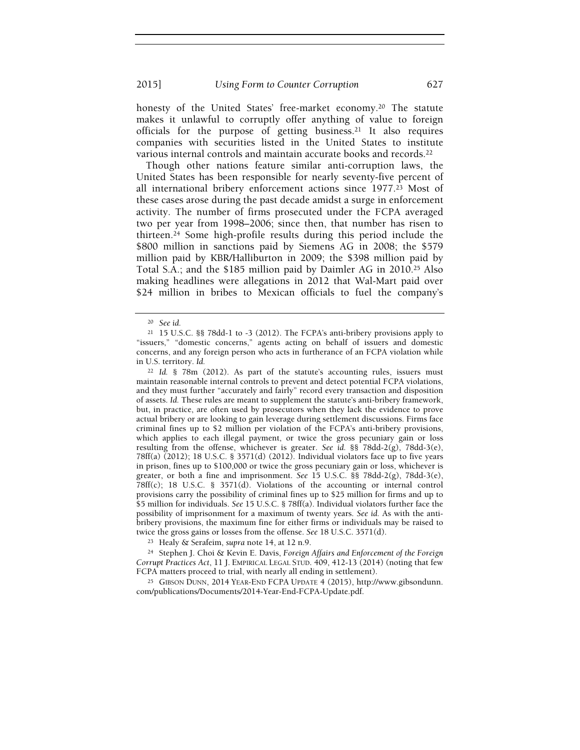honesty of the United States' free-market economy.20 The statute makes it unlawful to corruptly offer anything of value to foreign officials for the purpose of getting business.21 It also requires companies with securities listed in the United States to institute various internal controls and maintain accurate books and records.<sup>22</sup>

Though other nations feature similar anti-corruption laws, the United States has been responsible for nearly seventy-five percent of all international bribery enforcement actions since 1977.23 Most of these cases arose during the past decade amidst a surge in enforcement activity. The number of firms prosecuted under the FCPA averaged two per year from 1998–2006; since then, that number has risen to thirteen.24 Some high-profile results during this period include the \$800 million in sanctions paid by Siemens AG in 2008; the \$579 million paid by KBR/Halliburton in 2009; the \$398 million paid by Total S.A.; and the \$185 million paid by Daimler AG in 2010.25 Also making headlines were allegations in 2012 that Wal-Mart paid over \$24 million in bribes to Mexican officials to fuel the company's

<sup>22</sup> Id. § 78m (2012). As part of the statute's accounting rules, issuers must maintain reasonable internal controls to prevent and detect potential FCPA violations, and they must further "accurately and fairly" record every transaction and disposition of assets. Id. These rules are meant to supplement the statute's anti-bribery framework, but, in practice, are often used by prosecutors when they lack the evidence to prove actual bribery or are looking to gain leverage during settlement discussions. Firms face criminal fines up to \$2 million per violation of the FCPA's anti-bribery provisions, which applies to each illegal payment, or twice the gross pecuniary gain or loss resulting from the offense, whichever is greater. See id. §§ 78dd-2(g), 78dd-3(e), 78ff(a) (2012); 18 U.S.C. § 3571(d) (2012). Individual violators face up to five years in prison, fines up to \$100,000 or twice the gross pecuniary gain or loss, whichever is greater, or both a fine and imprisonment. See 15 U.S.C. §§ 78dd-2(g), 78dd-3(e), 78ff(c); 18 U.S.C. § 3571(d). Violations of the accounting or internal control provisions carry the possibility of criminal fines up to \$25 million for firms and up to \$5 million for individuals. See 15 U.S.C. § 78ff(a). Individual violators further face the possibility of imprisonment for a maximum of twenty years. See id. As with the antibribery provisions, the maximum fine for either firms or individuals may be raised to twice the gross gains or losses from the offense. See 18 U.S.C. 3571(d).

<sup>23</sup> Healy & Serafeim, supra note 14, at 12 n.9.

<sup>24</sup> Stephen J. Choi & Kevin E. Davis, Foreign Affairs and Enforcement of the Foreign Corrupt Practices Act, 11 J. EMPIRICAL LEGAL STUD. 409, 412-13 (2014) (noting that few FCPA matters proceed to trial, with nearly all ending in settlement).

<sup>25</sup> GIBSON DUNN, 2014 YEAR-END FCPA UPDATE 4 (2015), http://www.gibsondunn. com/publications/Documents/2014-Year-End-FCPA-Update.pdf.

<sup>20</sup> See id.

<sup>21</sup> 15 U.S.C. §§ 78dd-1 to -3 (2012). The FCPA's anti-bribery provisions apply to "issuers," "domestic concerns," agents acting on behalf of issuers and domestic concerns, and any foreign person who acts in furtherance of an FCPA violation while in U.S. territory. Id.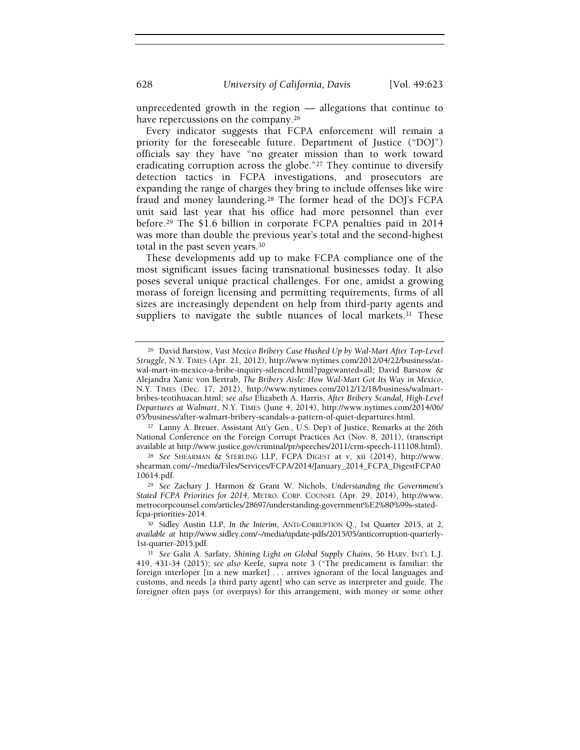unprecedented growth in the region — allegations that continue to have repercussions on the company.<sup>26</sup>

Every indicator suggests that FCPA enforcement will remain a priority for the foreseeable future. Department of Justice ("DOJ") officials say they have "no greater mission than to work toward eradicating corruption across the globe."27 They continue to diversify detection tactics in FCPA investigations, and prosecutors are expanding the range of charges they bring to include offenses like wire fraud and money laundering.28 The former head of the DOJ's FCPA unit said last year that his office had more personnel than ever before.29 The \$1.6 billion in corporate FCPA penalties paid in 2014 was more than double the previous year's total and the second-highest total in the past seven years.<sup>30</sup>

These developments add up to make FCPA compliance one of the most significant issues facing transnational businesses today. It also poses several unique practical challenges. For one, amidst a growing morass of foreign licensing and permitting requirements, firms of all sizes are increasingly dependent on help from third-party agents and suppliers to navigate the subtle nuances of local markets.31 These

<sup>27</sup> Lanny A. Breuer, Assistant Att'y Gen., U.S. Dep't of Justice, Remarks at the 26th National Conference on the Foreign Corrupt Practices Act (Nov. 8, 2011), (transcript available at http://www.justice.gov/criminal/pr/speeches/2011/crm-speech-111108.html).

<sup>28</sup> See SHEARMAN & STERLING LLP, FCPA DIGEST at v, xii (2014), http://www. shearman.com/~/media/Files/Services/FCPA/2014/January\_2014\_FCPA\_DigestFCPA0 10614.pdf.

<sup>29</sup> See Zachary J. Harmon & Grant W. Nichols, Understanding the Government's Stated FCPA Priorities for 2014, METRO. CORP. COUNSEL (Apr. 29, 2014), http://www. metrocorpcounsel.com/articles/28697/understanding-government%E2%80%99s-statedfcpa-priorities-2014.

<sup>30</sup> Sidley Austin LLP, In the Interim, ANTI-CORRUPTION Q., 1st Quarter 2015, at 2, available at http://www.sidley.com/~/media/update-pdfs/2015/05/anticorruption-quarterly-1st-quarter-2015.pdf.

<sup>31</sup> See Galit A. Sarfaty, Shining Light on Global Supply Chains, 56 HARV. INT'L L.J. 419, 431-34 (2015); see also Keefe, supra note 3 ("The predicament is familiar: the foreign interloper [in a new market] . . . arrives ignorant of the local languages and customs, and needs [a third party agent] who can serve as interpreter and guide. The foreigner often pays (or overpays) for this arrangement, with money or some other

<sup>26</sup> David Barstow, Vast Mexico Bribery Case Hushed Up by Wal-Mart After Top-Level Struggle, N.Y. TIMES (Apr. 21, 2012), http://www.nytimes.com/2012/04/22/business/atwal-mart-in-mexico-a-bribe-inquiry-silenced.html?pagewanted=all; David Barstow & Alejandra Xanic von Bertrab, The Bribery Aisle: How Wal-Mart Got Its Way in Mexico, N.Y. TIMES (Dec. 17, 2012), http://www.nytimes.com/2012/12/18/business/walmartbribes-teotihuacan.html; see also Elizabeth A. Harris, After Bribery Scandal, High-Level Departures at Walmart, N.Y. TIMES (June 4, 2014), http://www.nytimes.com/2014/06/ 05/business/after-walmart-bribery-scandals-a-pattern-of-quiet-departures.html.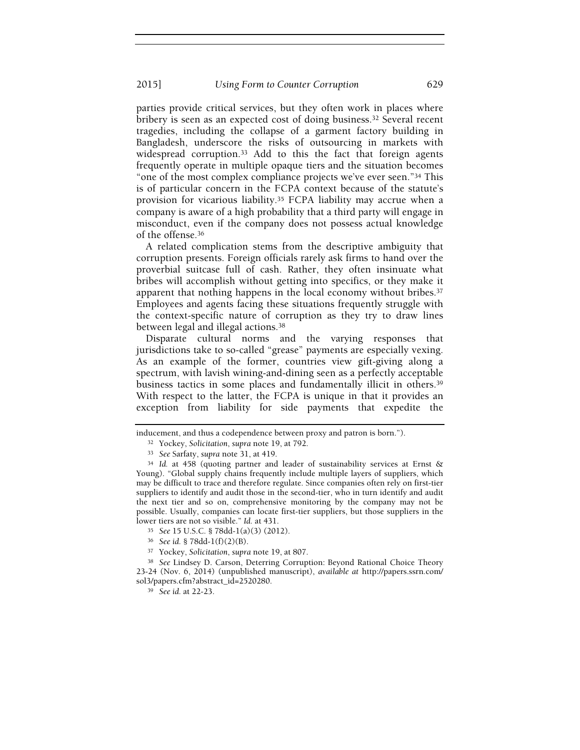parties provide critical services, but they often work in places where bribery is seen as an expected cost of doing business.32 Several recent tragedies, including the collapse of a garment factory building in Bangladesh, underscore the risks of outsourcing in markets with widespread corruption.33 Add to this the fact that foreign agents frequently operate in multiple opaque tiers and the situation becomes "one of the most complex compliance projects we've ever seen."34 This is of particular concern in the FCPA context because of the statute's provision for vicarious liability.35 FCPA liability may accrue when a company is aware of a high probability that a third party will engage in misconduct, even if the company does not possess actual knowledge of the offense.<sup>36</sup>

A related complication stems from the descriptive ambiguity that corruption presents. Foreign officials rarely ask firms to hand over the proverbial suitcase full of cash. Rather, they often insinuate what bribes will accomplish without getting into specifics, or they make it apparent that nothing happens in the local economy without bribes.<sup>37</sup> Employees and agents facing these situations frequently struggle with the context-specific nature of corruption as they try to draw lines between legal and illegal actions.<sup>38</sup>

Disparate cultural norms and the varying responses that jurisdictions take to so-called "grease" payments are especially vexing. As an example of the former, countries view gift-giving along a spectrum, with lavish wining-and-dining seen as a perfectly acceptable business tactics in some places and fundamentally illicit in others.<sup>39</sup> With respect to the latter, the FCPA is unique in that it provides an exception from liability for side payments that expedite the

inducement, and thus a codependence between proxy and patron is born.").

<sup>32</sup> Yockey, Solicitation, supra note 19, at 792.

<sup>33</sup> See Sarfaty, supra note 31, at 419.

<sup>34</sup> Id. at 458 (quoting partner and leader of sustainability services at Ernst & Young). "Global supply chains frequently include multiple layers of suppliers, which may be difficult to trace and therefore regulate. Since companies often rely on first-tier suppliers to identify and audit those in the second-tier, who in turn identify and audit the next tier and so on, comprehensive monitoring by the company may not be possible. Usually, companies can locate first-tier suppliers, but those suppliers in the lower tiers are not so visible." Id. at 431.

<sup>35</sup> See 15 U.S.C. § 78dd-1(a)(3) (2012).

<sup>36</sup> See id. § 78dd-1(f)(2)(B).

<sup>37</sup> Yockey, Solicitation, supra note 19, at 807.

<sup>38</sup> See Lindsey D. Carson, Deterring Corruption: Beyond Rational Choice Theory 23-24 (Nov. 6, 2014) (unpublished manuscript), available at http://papers.ssrn.com/ sol3/papers.cfm?abstract\_id=2520280.

<sup>39</sup> See id. at 22-23.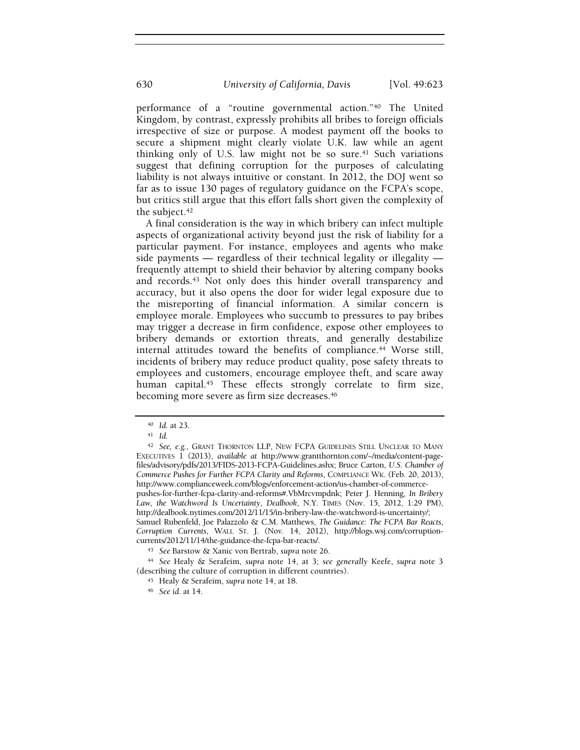performance of a "routine governmental action."40 The United Kingdom, by contrast, expressly prohibits all bribes to foreign officials irrespective of size or purpose. A modest payment off the books to secure a shipment might clearly violate U.K. law while an agent thinking only of U.S. law might not be so sure.<sup>41</sup> Such variations suggest that defining corruption for the purposes of calculating liability is not always intuitive or constant. In 2012, the DOJ went so far as to issue 130 pages of regulatory guidance on the FCPA's scope, but critics still argue that this effort falls short given the complexity of the subject.<sup>42</sup>

A final consideration is the way in which bribery can infect multiple aspects of organizational activity beyond just the risk of liability for a particular payment. For instance, employees and agents who make side payments — regardless of their technical legality or illegality frequently attempt to shield their behavior by altering company books and records.43 Not only does this hinder overall transparency and accuracy, but it also opens the door for wider legal exposure due to the misreporting of financial information. A similar concern is employee morale. Employees who succumb to pressures to pay bribes may trigger a decrease in firm confidence, expose other employees to bribery demands or extortion threats, and generally destabilize internal attitudes toward the benefits of compliance.<sup>44</sup> Worse still, incidents of bribery may reduce product quality, pose safety threats to employees and customers, encourage employee theft, and scare away human capital.<sup>45</sup> These effects strongly correlate to firm size, becoming more severe as firm size decreases.<sup>46</sup>

<sup>44</sup> See Healy & Serafeim, supra note 14, at 3; see generally Keefe, supra note 3 (describing the culture of corruption in different countries).

- <sup>45</sup> Healy & Serafeim, supra note 14, at 18.
- <sup>46</sup> See id. at 14.

<sup>40</sup> Id. at 23.

 $41$  Id.

<sup>&</sup>lt;sup>42</sup> See, e.g., GRANT THORNTON LLP, NEW FCPA GUIDELINES STILL UNCLEAR TO MANY EXECUTIVES 1 (2013), available at http://www.grantthornton.com/~/media/content-pagefiles/advisory/pdfs/2013/FIDS-2013-FCPA-Guidelines.ashx; Bruce Carton, U.S. Chamber of Commerce Pushes for Further FCPA Clarity and Reforms, COMPLIANCE WK. (Feb. 20, 2013), http://www.complianceweek.com/blogs/enforcement-action/us-chamber-of-commercepushes-for-further-fcpa-clarity-and-reforms#.VbMrcvmpdnk; Peter J. Henning, In Bribery Law, the Watchword Is Uncertainty, Dealbook, N.Y. TIMES (Nov. 15, 2012, 1:29 PM), http://dealbook.nytimes.com/2012/11/15/in-bribery-law-the-watchword-is-uncertainty/; Samuel Rubenfeld, Joe Palazzolo & C.M. Matthews, The Guidance: The FCPA Bar Reacts, Corruption Currents, WALL ST. J. (Nov. 14, 2012), http://blogs.wsj.com/corruptioncurrents/2012/11/14/the-guidance-the-fcpa-bar-reacts/.

<sup>43</sup> See Barstow & Xanic von Bertrab, supra note 26.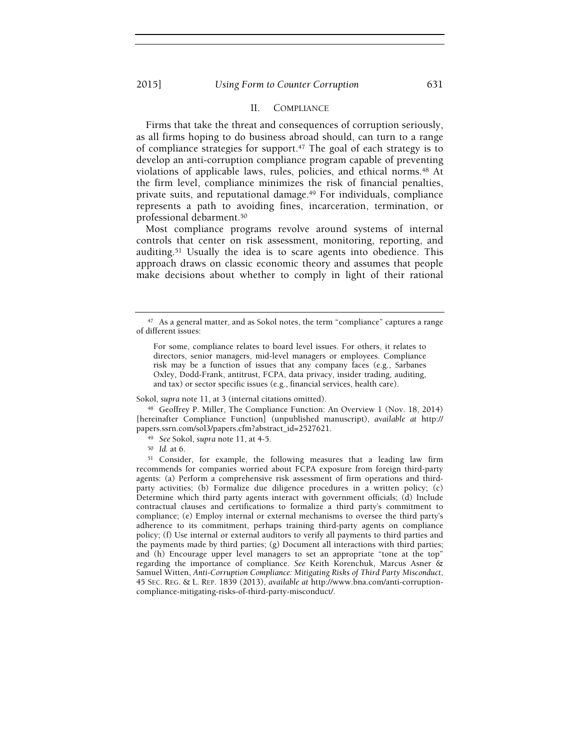# II. COMPLIANCE

Firms that take the threat and consequences of corruption seriously, as all firms hoping to do business abroad should, can turn to a range of compliance strategies for support.47 The goal of each strategy is to develop an anti-corruption compliance program capable of preventing violations of applicable laws, rules, policies, and ethical norms.<sup>48</sup> At the firm level, compliance minimizes the risk of financial penalties, private suits, and reputational damage.49 For individuals, compliance represents a path to avoiding fines, incarceration, termination, or professional debarment.<sup>50</sup>

Most compliance programs revolve around systems of internal controls that center on risk assessment, monitoring, reporting, and auditing.51 Usually the idea is to scare agents into obedience. This approach draws on classic economic theory and assumes that people make decisions about whether to comply in light of their rational

Sokol, supra note 11, at 3 (internal citations omitted).

<sup>48</sup> Geoffrey P. Miller, The Compliance Function: An Overview 1 (Nov. 18, 2014) [hereinafter Compliance Function] (unpublished manuscript), available at http:// papers.ssrn.com/sol3/papers.cfm?abstract\_id=2527621.

- <sup>49</sup> See Sokol, supra note 11, at 4-5.
- <sup>50</sup> Id. at 6.

<sup>51</sup> Consider, for example, the following measures that a leading law firm recommends for companies worried about FCPA exposure from foreign third-party agents: (a) Perform a comprehensive risk assessment of firm operations and thirdparty activities; (b) Formalize due diligence procedures in a written policy; (c) Determine which third party agents interact with government officials; (d) Include contractual clauses and certifications to formalize a third party's commitment to compliance; (e) Employ internal or external mechanisms to oversee the third party's adherence to its commitment, perhaps training third-party agents on compliance policy; (f) Use internal or external auditors to verify all payments to third parties and the payments made by third parties; (g) Document all interactions with third parties; and (h) Encourage upper level managers to set an appropriate "tone at the top" regarding the importance of compliance. See Keith Korenchuk, Marcus Asner & Samuel Witten, Anti-Corruption Compliance: Mitigating Risks of Third Party Misconduct, 45 SEC. REG. & L. REP. 1839 (2013), available at http://www.bna.com/anti-corruptioncompliance-mitigating-risks-of-third-party-misconduct/.

<sup>47</sup> As a general matter, and as Sokol notes, the term "compliance" captures a range of different issues:

For some, compliance relates to board level issues. For others, it relates to directors, senior managers, mid-level managers or employees. Compliance risk may be a function of issues that any company faces (e.g., Sarbanes Oxley, Dodd-Frank, antitrust, FCPA, data privacy, insider trading, auditing, and tax) or sector specific issues (e.g., financial services, health care).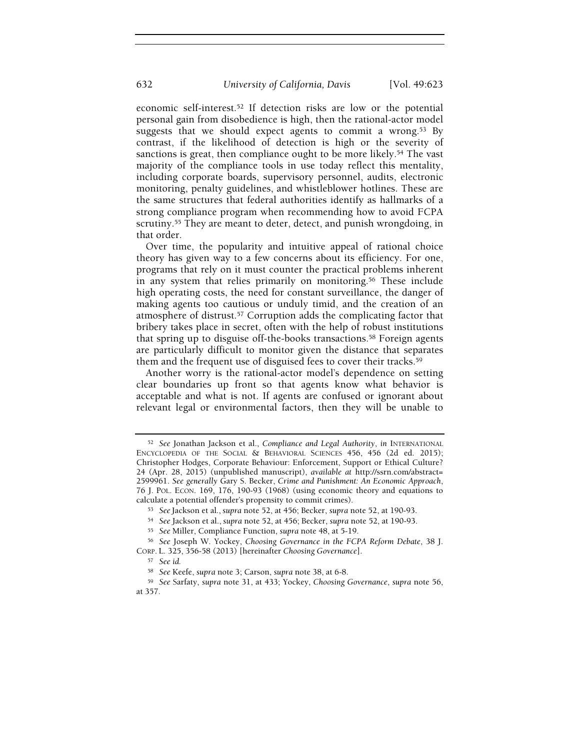economic self-interest.52 If detection risks are low or the potential personal gain from disobedience is high, then the rational-actor model suggests that we should expect agents to commit a wrong.<sup>53</sup> By contrast, if the likelihood of detection is high or the severity of sanctions is great, then compliance ought to be more likely.<sup>54</sup> The vast majority of the compliance tools in use today reflect this mentality, including corporate boards, supervisory personnel, audits, electronic monitoring, penalty guidelines, and whistleblower hotlines. These are the same structures that federal authorities identify as hallmarks of a strong compliance program when recommending how to avoid FCPA scrutiny.<sup>55</sup> They are meant to deter, detect, and punish wrongdoing, in that order.

Over time, the popularity and intuitive appeal of rational choice theory has given way to a few concerns about its efficiency. For one, programs that rely on it must counter the practical problems inherent in any system that relies primarily on monitoring.56 These include high operating costs, the need for constant surveillance, the danger of making agents too cautious or unduly timid, and the creation of an atmosphere of distrust.57 Corruption adds the complicating factor that bribery takes place in secret, often with the help of robust institutions that spring up to disguise off-the-books transactions.<sup>58</sup> Foreign agents are particularly difficult to monitor given the distance that separates them and the frequent use of disguised fees to cover their tracks.<sup>59</sup>

Another worry is the rational-actor model's dependence on setting clear boundaries up front so that agents know what behavior is acceptable and what is not. If agents are confused or ignorant about relevant legal or environmental factors, then they will be unable to

<sup>&</sup>lt;sup>52</sup> See Jonathan Jackson et al., Compliance and Legal Authority, in INTERNATIONAL ENCYCLOPEDIA OF THE SOCIAL & BEHAVIORAL SCIENCES 456, 456 (2d ed. 2015); Christopher Hodges, Corporate Behaviour: Enforcement, Support or Ethical Culture? 24 (Apr. 28, 2015) (unpublished manuscript), available at http://ssrn.com/abstract= 2599961. See generally Gary S. Becker, Crime and Punishment: An Economic Approach, 76 J. POL. ECON. 169, 176, 190-93 (1968) (using economic theory and equations to calculate a potential offender's propensity to commit crimes).

<sup>53</sup> See Jackson et al., supra note 52, at 456; Becker, supra note 52, at 190-93.

<sup>54</sup> See Jackson et al., supra note 52, at 456; Becker, supra note 52, at 190-93.

<sup>55</sup> See Miller, Compliance Function, supra note 48, at 5-19.

<sup>56</sup> See Joseph W. Yockey, Choosing Governance in the FCPA Reform Debate, 38 J.

CORP. L. 325, 356-58 (2013) [hereinafter Choosing Governance].

<sup>57</sup> See id.

<sup>58</sup> See Keefe, supra note 3; Carson, supra note 38, at 6-8.

<sup>59</sup> See Sarfaty, supra note 31, at 433; Yockey, Choosing Governance, supra note 56, at 357.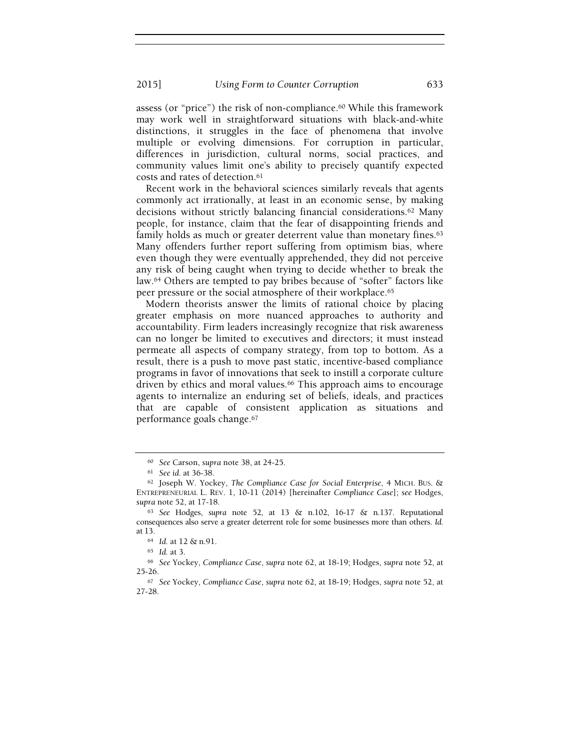assess (or "price") the risk of non-compliance.60 While this framework may work well in straightforward situations with black-and-white distinctions, it struggles in the face of phenomena that involve multiple or evolving dimensions. For corruption in particular, differences in jurisdiction, cultural norms, social practices, and community values limit one's ability to precisely quantify expected costs and rates of detection.<sup>61</sup>

Recent work in the behavioral sciences similarly reveals that agents commonly act irrationally, at least in an economic sense, by making decisions without strictly balancing financial considerations.62 Many people, for instance, claim that the fear of disappointing friends and family holds as much or greater deterrent value than monetary fines.<sup>63</sup> Many offenders further report suffering from optimism bias, where even though they were eventually apprehended, they did not perceive any risk of being caught when trying to decide whether to break the law.64 Others are tempted to pay bribes because of "softer" factors like peer pressure or the social atmosphere of their workplace.<sup>65</sup>

Modern theorists answer the limits of rational choice by placing greater emphasis on more nuanced approaches to authority and accountability. Firm leaders increasingly recognize that risk awareness can no longer be limited to executives and directors; it must instead permeate all aspects of company strategy, from top to bottom. As a result, there is a push to move past static, incentive-based compliance programs in favor of innovations that seek to instill a corporate culture driven by ethics and moral values.<sup>66</sup> This approach aims to encourage agents to internalize an enduring set of beliefs, ideals, and practices that are capable of consistent application as situations and performance goals change.<sup>67</sup>

<sup>60</sup> See Carson, supra note 38, at 24-25.

<sup>61</sup> See id. at 36-38.

<sup>62</sup> Joseph W. Yockey, The Compliance Case for Social Enterprise, 4 MICH. BUS. & ENTREPRENEURIAL L. REV. 1, 10-11 (2014) [hereinafter Compliance Case]; see Hodges, supra note 52, at 17-18.

 $63$  See Hodges, supra note 52, at 13 & n.102, 16-17 & n.137. Reputational consequences also serve a greater deterrent role for some businesses more than others. Id. at 13.

<sup>64</sup> Id. at 12 & n.91.

<sup>65</sup> Id. at 3.

<sup>66</sup> See Yockey, Compliance Case, supra note 62, at 18-19; Hodges, supra note 52, at 25-26.

<sup>67</sup> See Yockey, Compliance Case, supra note 62, at 18-19; Hodges, supra note 52, at 27-28.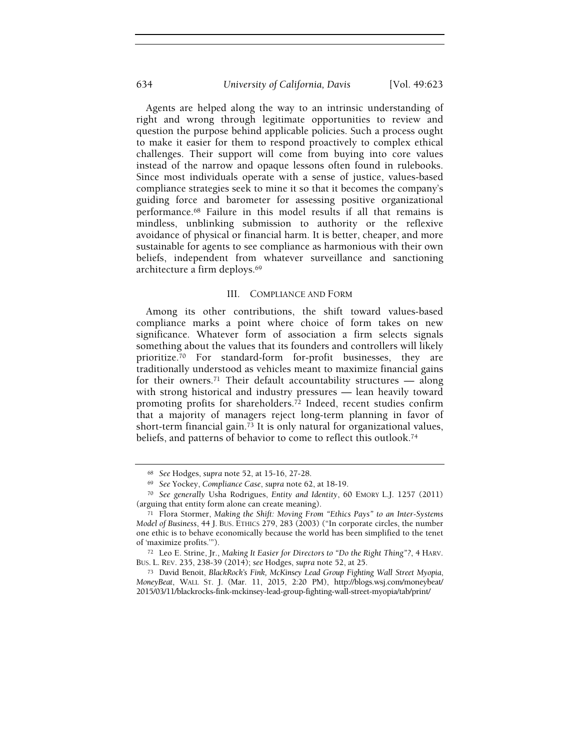# 634 University of California, Davis [Vol. 49:623

Agents are helped along the way to an intrinsic understanding of right and wrong through legitimate opportunities to review and question the purpose behind applicable policies. Such a process ought to make it easier for them to respond proactively to complex ethical challenges. Their support will come from buying into core values instead of the narrow and opaque lessons often found in rulebooks. Since most individuals operate with a sense of justice, values-based compliance strategies seek to mine it so that it becomes the company's guiding force and barometer for assessing positive organizational performance.68 Failure in this model results if all that remains is mindless, unblinking submission to authority or the reflexive avoidance of physical or financial harm. It is better, cheaper, and more sustainable for agents to see compliance as harmonious with their own beliefs, independent from whatever surveillance and sanctioning architecture a firm deploys.<sup>69</sup>

#### III. COMPLIANCE AND FORM

Among its other contributions, the shift toward values-based compliance marks a point where choice of form takes on new significance. Whatever form of association a firm selects signals something about the values that its founders and controllers will likely prioritize.70 For standard-form for-profit businesses, they are traditionally understood as vehicles meant to maximize financial gains for their owners.<sup>71</sup> Their default accountability structures  $-$  along with strong historical and industry pressures — lean heavily toward promoting profits for shareholders.72 Indeed, recent studies confirm that a majority of managers reject long-term planning in favor of short-term financial gain.73 It is only natural for organizational values, beliefs, and patterns of behavior to come to reflect this outlook.<sup>74</sup>

<sup>68</sup> See Hodges, supra note 52, at 15-16, 27-28.

<sup>69</sup> See Yockey, Compliance Case, supra note 62, at 18-19.

<sup>70</sup> See generally Usha Rodrigues, Entity and Identity, 60 EMORY L.J. 1257 (2011) (arguing that entity form alone can create meaning).

<sup>71</sup> Flora Stormer, Making the Shift: Moving From "Ethics Pays" to an Inter-Systems Model of Business, 44 J. BUS. ETHICS 279, 283 (2003) ("In corporate circles, the number one ethic is to behave economically because the world has been simplified to the tenet of 'maximize profits.'").

<sup>72</sup> Leo E. Strine, Jr., Making It Easier for Directors to "Do the Right Thing"?, 4 HARV. BUS. L. REV. 235, 238-39 (2014); see Hodges, supra note 52, at 25.

<sup>73</sup> David Benoit, BlackRock's Fink, McKinsey Lead Group Fighting Wall Street Myopia, MoneyBeat, WALL ST. J. (Mar. 11, 2015, 2:20 PM), http://blogs.wsj.com/moneybeat/ 2015/03/11/blackrocks-fink-mckinsey-lead-group-fighting-wall-street-myopia/tab/print/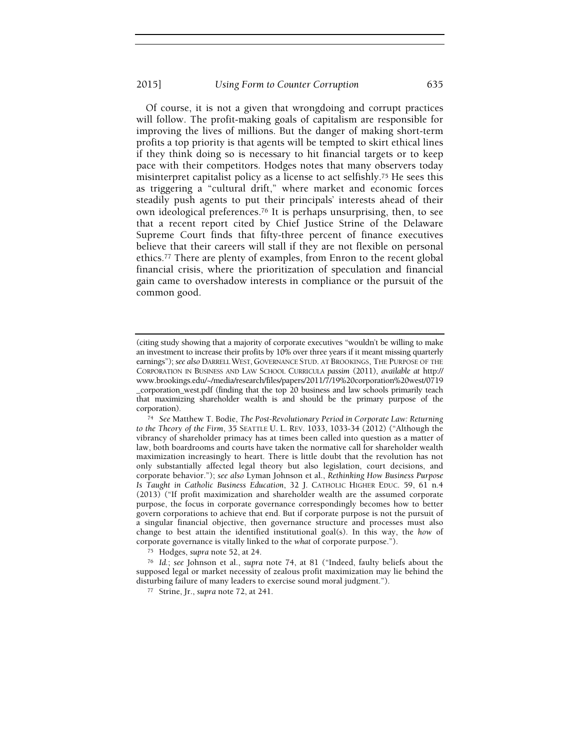Of course, it is not a given that wrongdoing and corrupt practices will follow. The profit-making goals of capitalism are responsible for improving the lives of millions. But the danger of making short-term profits a top priority is that agents will be tempted to skirt ethical lines if they think doing so is necessary to hit financial targets or to keep pace with their competitors. Hodges notes that many observers today misinterpret capitalist policy as a license to act selfishly.<sup>75</sup> He sees this as triggering a "cultural drift," where market and economic forces steadily push agents to put their principals' interests ahead of their own ideological preferences.76 It is perhaps unsurprising, then, to see that a recent report cited by Chief Justice Strine of the Delaware Supreme Court finds that fifty-three percent of finance executives believe that their careers will stall if they are not flexible on personal ethics.<sup>77</sup> There are plenty of examples, from Enron to the recent global financial crisis, where the prioritization of speculation and financial gain came to overshadow interests in compliance or the pursuit of the common good.

<sup>75</sup> Hodges, supra note 52, at 24.

<sup>76</sup> Id.; see Johnson et al., supra note 74, at 81 ("Indeed, faulty beliefs about the supposed legal or market necessity of zealous profit maximization may lie behind the disturbing failure of many leaders to exercise sound moral judgment.").

<sup>77</sup> Strine, Jr., supra note 72, at 241.

<sup>(</sup>citing study showing that a majority of corporate executives "wouldn't be willing to make an investment to increase their profits by 10% over three years if it meant missing quarterly earnings"); see also DARRELL WEST, GOVERNANCE STUD. AT BROOKINGS, THE PURPOSE OF THE CORPORATION IN BUSINESS AND LAW SCHOOL CURRICULA passim (2011), available at http:// www.brookings.edu/~/media/research/files/papers/2011/7/19%20corporation%20west/0719 \_corporation\_west.pdf (finding that the top 20 business and law schools primarily teach that maximizing shareholder wealth is and should be the primary purpose of the corporation).

<sup>74</sup> See Matthew T. Bodie, The Post-Revolutionary Period in Corporate Law: Returning to the Theory of the Firm, 35 SEATTLE U. L. REV. 1033, 1033-34 (2012) ("Although the vibrancy of shareholder primacy has at times been called into question as a matter of law, both boardrooms and courts have taken the normative call for shareholder wealth maximization increasingly to heart. There is little doubt that the revolution has not only substantially affected legal theory but also legislation, court decisions, and corporate behavior."); see also Lyman Johnson et al., Rethinking How Business Purpose Is Taught in Catholic Business Education, 32 J. CATHOLIC HIGHER EDUC. 59, 61 n.4 (2013) ("If profit maximization and shareholder wealth are the assumed corporate purpose, the focus in corporate governance correspondingly becomes how to better govern corporations to achieve that end. But if corporate purpose is not the pursuit of a singular financial objective, then governance structure and processes must also change to best attain the identified institutional goal(s). In this way, the how of corporate governance is vitally linked to the what of corporate purpose.").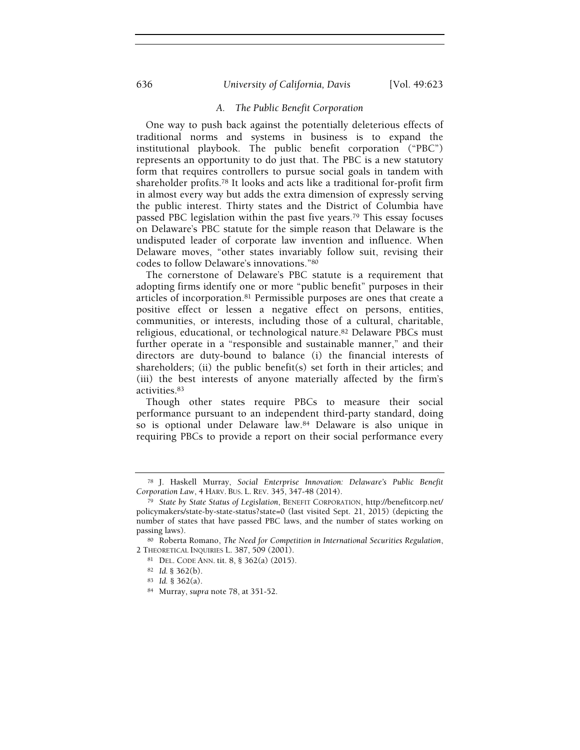# 636 University of California, Davis [Vol. 49:623

# A. The Public Benefit Corporation

One way to push back against the potentially deleterious effects of traditional norms and systems in business is to expand the institutional playbook. The public benefit corporation ("PBC") represents an opportunity to do just that. The PBC is a new statutory form that requires controllers to pursue social goals in tandem with shareholder profits.78 It looks and acts like a traditional for-profit firm in almost every way but adds the extra dimension of expressly serving the public interest. Thirty states and the District of Columbia have passed PBC legislation within the past five years.79 This essay focuses on Delaware's PBC statute for the simple reason that Delaware is the undisputed leader of corporate law invention and influence. When Delaware moves, "other states invariably follow suit, revising their codes to follow Delaware's innovations."<sup>80</sup>

The cornerstone of Delaware's PBC statute is a requirement that adopting firms identify one or more "public benefit" purposes in their articles of incorporation.81 Permissible purposes are ones that create a positive effect or lessen a negative effect on persons, entities, communities, or interests, including those of a cultural, charitable, religious, educational, or technological nature.82 Delaware PBCs must further operate in a "responsible and sustainable manner," and their directors are duty-bound to balance (i) the financial interests of shareholders; (ii) the public benefit(s) set forth in their articles; and (iii) the best interests of anyone materially affected by the firm's activities.<sup>83</sup>

Though other states require PBCs to measure their social performance pursuant to an independent third-party standard, doing so is optional under Delaware law.84 Delaware is also unique in requiring PBCs to provide a report on their social performance every

<sup>78</sup> J. Haskell Murray, Social Enterprise Innovation: Delaware's Public Benefit Corporation Law, 4 HARV. BUS. L. REV. 345, 347-48 (2014).

<sup>79</sup> State by State Status of Legislation, BENEFIT CORPORATION, http://benefitcorp.net/ policymakers/state-by-state-status?state=0 (last visited Sept. 21, 2015) (depicting the number of states that have passed PBC laws, and the number of states working on passing laws).

<sup>80</sup> Roberta Romano, The Need for Competition in International Securities Regulation, 2 THEORETICAL INQUIRIES L. 387, 509 (2001).

<sup>81</sup> DEL. CODE ANN. tit. 8, § 362(a) (2015).

<sup>82</sup> Id. § 362(b).

<sup>83</sup> Id. § 362(a).

<sup>84</sup> Murray, supra note 78, at 351-52.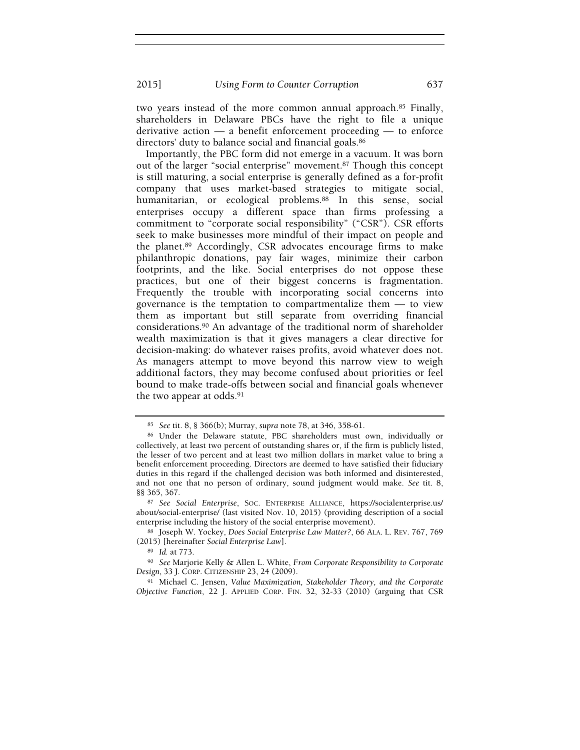two years instead of the more common annual approach.85 Finally, shareholders in Delaware PBCs have the right to file a unique derivative action — a benefit enforcement proceeding — to enforce directors' duty to balance social and financial goals.<sup>86</sup>

Importantly, the PBC form did not emerge in a vacuum. It was born out of the larger "social enterprise" movement.87 Though this concept is still maturing, a social enterprise is generally defined as a for-profit company that uses market-based strategies to mitigate social, humanitarian, or ecological problems.<sup>88</sup> In this sense, social enterprises occupy a different space than firms professing a commitment to "corporate social responsibility" ("CSR"). CSR efforts seek to make businesses more mindful of their impact on people and the planet.89 Accordingly, CSR advocates encourage firms to make philanthropic donations, pay fair wages, minimize their carbon footprints, and the like. Social enterprises do not oppose these practices, but one of their biggest concerns is fragmentation. Frequently the trouble with incorporating social concerns into governance is the temptation to compartmentalize them — to view them as important but still separate from overriding financial considerations.90 An advantage of the traditional norm of shareholder wealth maximization is that it gives managers a clear directive for decision-making: do whatever raises profits, avoid whatever does not. As managers attempt to move beyond this narrow view to weigh additional factors, they may become confused about priorities or feel bound to make trade-offs between social and financial goals whenever the two appear at odds.<sup>91</sup>

<sup>85</sup> See tit. 8, § 366(b); Murray, supra note 78, at 346, 358-61.

<sup>86</sup> Under the Delaware statute, PBC shareholders must own, individually or collectively, at least two percent of outstanding shares or, if the firm is publicly listed, the lesser of two percent and at least two million dollars in market value to bring a benefit enforcement proceeding. Directors are deemed to have satisfied their fiduciary duties in this regard if the challenged decision was both informed and disinterested, and not one that no person of ordinary, sound judgment would make. See tit. 8, §§ 365, 367.

<sup>87</sup> See Social Enterprise, SOC. ENTERPRISE ALLIANCE, https://socialenterprise.us/ about/social-enterprise/ (last visited Nov. 10, 2015) (providing description of a social enterprise including the history of the social enterprise movement).

<sup>88</sup> Joseph W. Yockey, Does Social Enterprise Law Matter?, 66 ALA. L. REV. 767, 769 (2015) [hereinafter Social Enterprise Law].

<sup>89</sup> Id. at 773.

<sup>90</sup> See Marjorie Kelly & Allen L. White, From Corporate Responsibility to Corporate Design, 33 J. CORP. CITIZENSHIP 23, 24 (2009).

<sup>91</sup> Michael C. Jensen, Value Maximization, Stakeholder Theory, and the Corporate Objective Function, 22 J. APPLIED CORP. FIN. 32, 32-33 (2010) (arguing that CSR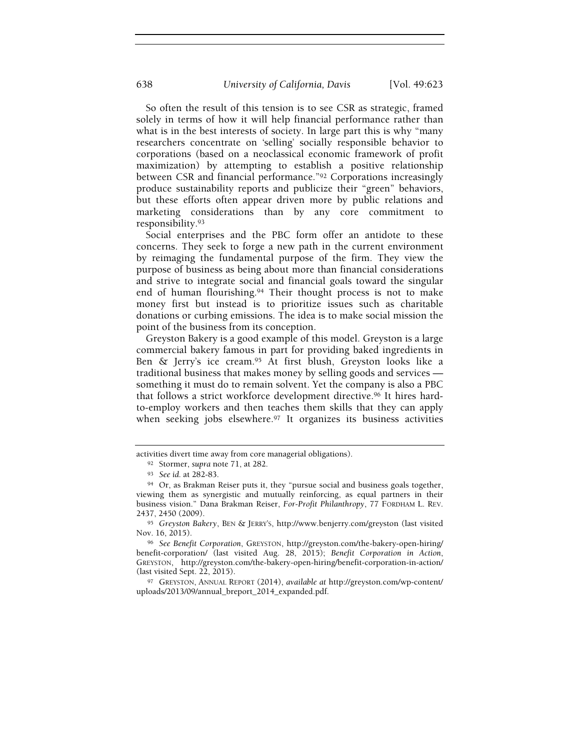So often the result of this tension is to see CSR as strategic, framed solely in terms of how it will help financial performance rather than what is in the best interests of society. In large part this is why "many researchers concentrate on 'selling' socially responsible behavior to corporations (based on a neoclassical economic framework of profit maximization) by attempting to establish a positive relationship between CSR and financial performance."92 Corporations increasingly produce sustainability reports and publicize their "green" behaviors, but these efforts often appear driven more by public relations and marketing considerations than by any core commitment to responsibility.<sup>93</sup>

Social enterprises and the PBC form offer an antidote to these concerns. They seek to forge a new path in the current environment by reimaging the fundamental purpose of the firm. They view the purpose of business as being about more than financial considerations and strive to integrate social and financial goals toward the singular end of human flourishing.<sup>94</sup> Their thought process is not to make money first but instead is to prioritize issues such as charitable donations or curbing emissions. The idea is to make social mission the point of the business from its conception.

Greyston Bakery is a good example of this model. Greyston is a large commercial bakery famous in part for providing baked ingredients in Ben & Jerry's ice cream.95 At first blush, Greyston looks like a traditional business that makes money by selling goods and services something it must do to remain solvent. Yet the company is also a PBC that follows a strict workforce development directive.96 It hires hardto-employ workers and then teaches them skills that they can apply when seeking jobs elsewhere.<sup>97</sup> It organizes its business activities

activities divert time away from core managerial obligations).

<sup>92</sup> Stormer, supra note 71, at 282.

<sup>93</sup> See id. at 282-83.

<sup>94</sup> Or, as Brakman Reiser puts it, they "pursue social and business goals together, viewing them as synergistic and mutually reinforcing, as equal partners in their business vision." Dana Brakman Reiser, For-Profit Philanthropy, 77 FORDHAM L. REV. 2437, 2450 (2009).

<sup>95</sup> Greyston Bakery, BEN & JERRY'S, http://www.benjerry.com/greyston (last visited Nov. 16, 2015).

<sup>96</sup> See Benefit Corporation, GREYSTON, http://greyston.com/the-bakery-open-hiring/ benefit-corporation/ (last visited Aug. 28, 2015); Benefit Corporation in Action, GREYSTON, http://greyston.com/the-bakery-open-hiring/benefit-corporation-in-action/ (last visited Sept. 22, 2015).

<sup>97</sup> GREYSTON, ANNUAL REPORT (2014), available at http://greyston.com/wp-content/ uploads/2013/09/annual\_breport\_2014\_expanded.pdf.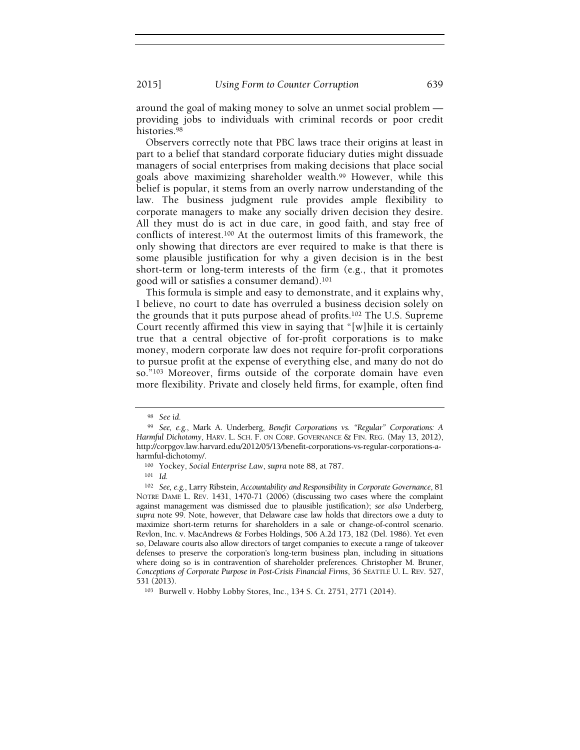around the goal of making money to solve an unmet social problem providing jobs to individuals with criminal records or poor credit histories.<sup>98</sup>

Observers correctly note that PBC laws trace their origins at least in part to a belief that standard corporate fiduciary duties might dissuade managers of social enterprises from making decisions that place social goals above maximizing shareholder wealth.99 However, while this belief is popular, it stems from an overly narrow understanding of the law. The business judgment rule provides ample flexibility to corporate managers to make any socially driven decision they desire. All they must do is act in due care, in good faith, and stay free of conflicts of interest.100 At the outermost limits of this framework, the only showing that directors are ever required to make is that there is some plausible justification for why a given decision is in the best short-term or long-term interests of the firm (e.g., that it promotes good will or satisfies a consumer demand).<sup>101</sup>

This formula is simple and easy to demonstrate, and it explains why, I believe, no court to date has overruled a business decision solely on the grounds that it puts purpose ahead of profits.102 The U.S. Supreme Court recently affirmed this view in saying that "[w]hile it is certainly true that a central objective of for-profit corporations is to make money, modern corporate law does not require for-profit corporations to pursue profit at the expense of everything else, and many do not do so."103 Moreover, firms outside of the corporate domain have even more flexibility. Private and closely held firms, for example, often find

<sup>101</sup> Id.

<sup>98</sup> See id.

<sup>99</sup> See, e.g., Mark A. Underberg, Benefit Corporations vs. "Regular" Corporations: A Harmful Dichotomy, HARV. L. SCH. F. ON CORP. GOVERNANCE & FIN. REG. (May 13, 2012), http://corpgov.law.harvard.edu/2012/05/13/benefit-corporations-vs-regular-corporations-aharmful-dichotomy/.

<sup>100</sup> Yockey, Social Enterprise Law, supra note 88, at 787.

<sup>102</sup> See, e.g., Larry Ribstein, Accountability and Responsibility in Corporate Governance, 81 NOTRE DAME L. REV. 1431, 1470-71 (2006) (discussing two cases where the complaint against management was dismissed due to plausible justification); see also Underberg, supra note 99. Note, however, that Delaware case law holds that directors owe a duty to maximize short-term returns for shareholders in a sale or change-of-control scenario. Revlon, Inc. v. MacAndrews & Forbes Holdings, 506 A.2d 173, 182 (Del. 1986). Yet even so, Delaware courts also allow directors of target companies to execute a range of takeover defenses to preserve the corporation's long-term business plan, including in situations where doing so is in contravention of shareholder preferences. Christopher M. Bruner, Conceptions of Corporate Purpose in Post-Crisis Financial Firms, 36 SEATTLE U. L. REV. 527, 531 (2013).

<sup>103</sup> Burwell v. Hobby Lobby Stores, Inc., 134 S. Ct. 2751, 2771 (2014).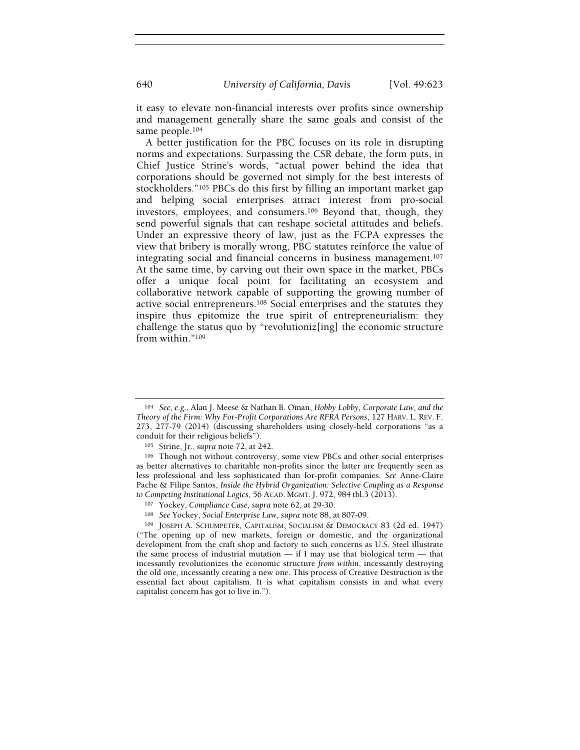it easy to elevate non-financial interests over profits since ownership and management generally share the same goals and consist of the same people.<sup>104</sup>

A better justification for the PBC focuses on its role in disrupting norms and expectations. Surpassing the CSR debate, the form puts, in Chief Justice Strine's words, "actual power behind the idea that corporations should be governed not simply for the best interests of stockholders."105 PBCs do this first by filling an important market gap and helping social enterprises attract interest from pro-social investors, employees, and consumers.106 Beyond that, though, they send powerful signals that can reshape societal attitudes and beliefs. Under an expressive theory of law, just as the FCPA expresses the view that bribery is morally wrong, PBC statutes reinforce the value of integrating social and financial concerns in business management.<sup>107</sup> At the same time, by carving out their own space in the market, PBCs offer a unique focal point for facilitating an ecosystem and collaborative network capable of supporting the growing number of active social entrepreneurs.108 Social enterprises and the statutes they inspire thus epitomize the true spirit of entrepreneurialism: they challenge the status quo by "revolutioniz[ing] the economic structure from within."<sup>109</sup>

<sup>104</sup> See, e.g., Alan J. Meese & Nathan B. Oman, Hobby Lobby, Corporate Law, and the Theory of the Firm: Why For-Profit Corporations Are RFRA Persons, 127 HARV. L. REV. F. 273, 277-79 (2014) (discussing shareholders using closely-held corporations "as a conduit for their religious beliefs").

<sup>105</sup> Strine, Jr., supra note 72, at 242.

<sup>106</sup> Though not without controversy, some view PBCs and other social enterprises as better alternatives to charitable non-profits since the latter are frequently seen as less professional and less sophisticated than for-profit companies. See Anne-Claire Pache & Filipe Santos, Inside the Hybrid Organization: Selective Coupling as a Response to Competing Institutional Logics, 56 ACAD. MGMT. J. 972, 984 tbl.3 (2013).

<sup>107</sup> Yockey, Compliance Case, supra note 62, at 29-30.

<sup>108</sup> See Yockey, Social Enterprise Law, supra note 88, at 807-09.

<sup>109</sup> JOSEPH A. SCHUMPETER, CAPITALISM, SOCIALISM & DEMOCRACY 83 (2d ed. 1947) ("The opening up of new markets, foreign or domestic, and the organizational development from the craft shop and factory to such concerns as U.S. Steel illustrate the same process of industrial mutation  $-$  if I may use that biological term  $-$  that incessantly revolutionizes the economic structure from within, incessantly destroying the old one, incessantly creating a new one. This process of Creative Destruction is the essential fact about capitalism. It is what capitalism consists in and what every capitalist concern has got to live in.").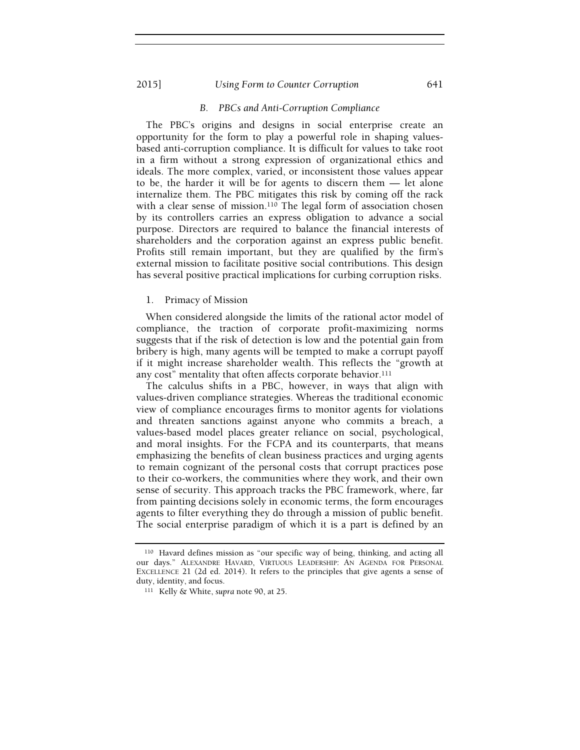# B. PBCs and Anti-Corruption Compliance

The PBC's origins and designs in social enterprise create an opportunity for the form to play a powerful role in shaping valuesbased anti-corruption compliance. It is difficult for values to take root in a firm without a strong expression of organizational ethics and ideals. The more complex, varied, or inconsistent those values appear to be, the harder it will be for agents to discern them — let alone internalize them. The PBC mitigates this risk by coming off the rack with a clear sense of mission.<sup>110</sup> The legal form of association chosen by its controllers carries an express obligation to advance a social purpose. Directors are required to balance the financial interests of shareholders and the corporation against an express public benefit. Profits still remain important, but they are qualified by the firm's external mission to facilitate positive social contributions. This design has several positive practical implications for curbing corruption risks.

#### 1. Primacy of Mission

When considered alongside the limits of the rational actor model of compliance, the traction of corporate profit-maximizing norms suggests that if the risk of detection is low and the potential gain from bribery is high, many agents will be tempted to make a corrupt payoff if it might increase shareholder wealth. This reflects the "growth at any cost" mentality that often affects corporate behavior.<sup>111</sup>

The calculus shifts in a PBC, however, in ways that align with values-driven compliance strategies. Whereas the traditional economic view of compliance encourages firms to monitor agents for violations and threaten sanctions against anyone who commits a breach, a values-based model places greater reliance on social, psychological, and moral insights. For the FCPA and its counterparts, that means emphasizing the benefits of clean business practices and urging agents to remain cognizant of the personal costs that corrupt practices pose to their co-workers, the communities where they work, and their own sense of security. This approach tracks the PBC framework, where, far from painting decisions solely in economic terms, the form encourages agents to filter everything they do through a mission of public benefit. The social enterprise paradigm of which it is a part is defined by an

<sup>110</sup> Havard defines mission as "our specific way of being, thinking, and acting all our days." ALEXANDRE HAVARD, VIRTUOUS LEADERSHIP: AN AGENDA FOR PERSONAL EXCELLENCE 21 (2d ed. 2014). It refers to the principles that give agents a sense of duty, identity, and focus.

<sup>111</sup> Kelly & White, supra note 90, at 25.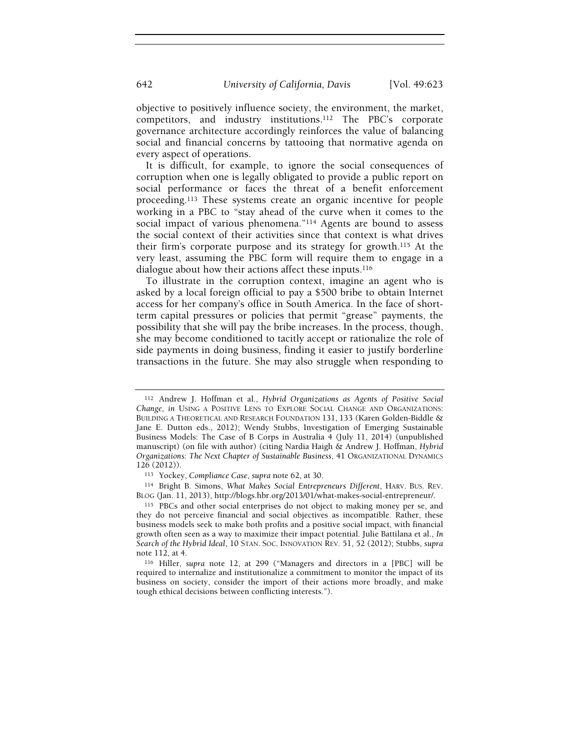objective to positively influence society, the environment, the market, competitors, and industry institutions.112 The PBC's corporate governance architecture accordingly reinforces the value of balancing social and financial concerns by tattooing that normative agenda on every aspect of operations.

It is difficult, for example, to ignore the social consequences of corruption when one is legally obligated to provide a public report on social performance or faces the threat of a benefit enforcement proceeding.113 These systems create an organic incentive for people working in a PBC to "stay ahead of the curve when it comes to the social impact of various phenomena."114 Agents are bound to assess the social context of their activities since that context is what drives their firm's corporate purpose and its strategy for growth.115 At the very least, assuming the PBC form will require them to engage in a dialogue about how their actions affect these inputs.<sup>116</sup>

To illustrate in the corruption context, imagine an agent who is asked by a local foreign official to pay a \$500 bribe to obtain Internet access for her company's office in South America. In the face of shortterm capital pressures or policies that permit "grease" payments, the possibility that she will pay the bribe increases. In the process, though, she may become conditioned to tacitly accept or rationalize the role of side payments in doing business, finding it easier to justify borderline transactions in the future. She may also struggle when responding to

<sup>114</sup> Bright B. Simons, What Makes Social Entrepreneurs Different, HARV. BUS. REV. BLOG (Jan. 11, 2013), http://blogs.hbr.org/2013/01/what-makes-social-entrepreneur/.

<sup>112</sup> Andrew J. Hoffman et al., Hybrid Organizations as Agents of Positive Social Change, in USING A POSITIVE LENS TO EXPLORE SOCIAL CHANGE AND ORGANIZATIONS: BUILDING A THEORETICAL AND RESEARCH FOUNDATION 131, 133 (Karen Golden-Biddle & Jane E. Dutton eds., 2012); Wendy Stubbs, Investigation of Emerging Sustainable Business Models: The Case of B Corps in Australia 4 (July 11, 2014) (unpublished manuscript) (on file with author) (citing Nardia Haigh & Andrew J. Hoffman, Hybrid Organizations: The Next Chapter of Sustainable Business, 41 ORGANIZATIONAL DYNAMICS 126 (2012)).

<sup>113</sup> Yockey, Compliance Case, supra note 62, at 30.

<sup>115</sup> PBCs and other social enterprises do not object to making money per se, and they do not perceive financial and social objectives as incompatible. Rather, these business models seek to make both profits and a positive social impact, with financial growth often seen as a way to maximize their impact potential. Julie Battilana et al., In Search of the Hybrid Ideal, 10 STAN. SOC. INNOVATION REV. 51, 52 (2012); Stubbs, supra note 112, at 4.

<sup>116</sup> Hiller, supra note 12, at 299 ("Managers and directors in a [PBC] will be required to internalize and institutionalize a commitment to monitor the impact of its business on society, consider the import of their actions more broadly, and make tough ethical decisions between conflicting interests.").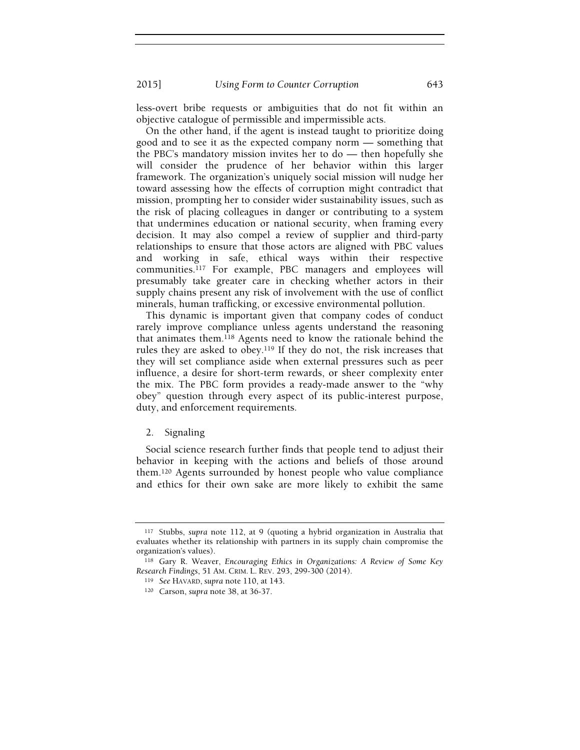less-overt bribe requests or ambiguities that do not fit within an objective catalogue of permissible and impermissible acts.

On the other hand, if the agent is instead taught to prioritize doing good and to see it as the expected company norm — something that the PBC's mandatory mission invites her to do — then hopefully she will consider the prudence of her behavior within this larger framework. The organization's uniquely social mission will nudge her toward assessing how the effects of corruption might contradict that mission, prompting her to consider wider sustainability issues, such as the risk of placing colleagues in danger or contributing to a system that undermines education or national security, when framing every decision. It may also compel a review of supplier and third-party relationships to ensure that those actors are aligned with PBC values and working in safe, ethical ways within their respective communities.117 For example, PBC managers and employees will presumably take greater care in checking whether actors in their supply chains present any risk of involvement with the use of conflict minerals, human trafficking, or excessive environmental pollution.

This dynamic is important given that company codes of conduct rarely improve compliance unless agents understand the reasoning that animates them.118 Agents need to know the rationale behind the rules they are asked to obey.119 If they do not, the risk increases that they will set compliance aside when external pressures such as peer influence, a desire for short-term rewards, or sheer complexity enter the mix. The PBC form provides a ready-made answer to the "why obey" question through every aspect of its public-interest purpose, duty, and enforcement requirements.

# 2. Signaling

Social science research further finds that people tend to adjust their behavior in keeping with the actions and beliefs of those around them.120 Agents surrounded by honest people who value compliance and ethics for their own sake are more likely to exhibit the same

<sup>117</sup> Stubbs, supra note 112, at 9 (quoting a hybrid organization in Australia that evaluates whether its relationship with partners in its supply chain compromise the organization's values).

<sup>118</sup> Gary R. Weaver, Encouraging Ethics in Organizations: A Review of Some Key Research Findings, 51 AM. CRIM. L. REV. 293, 299-300 (2014).

<sup>119</sup> See HAVARD, supra note 110, at 143.

<sup>120</sup> Carson, supra note 38, at 36-37.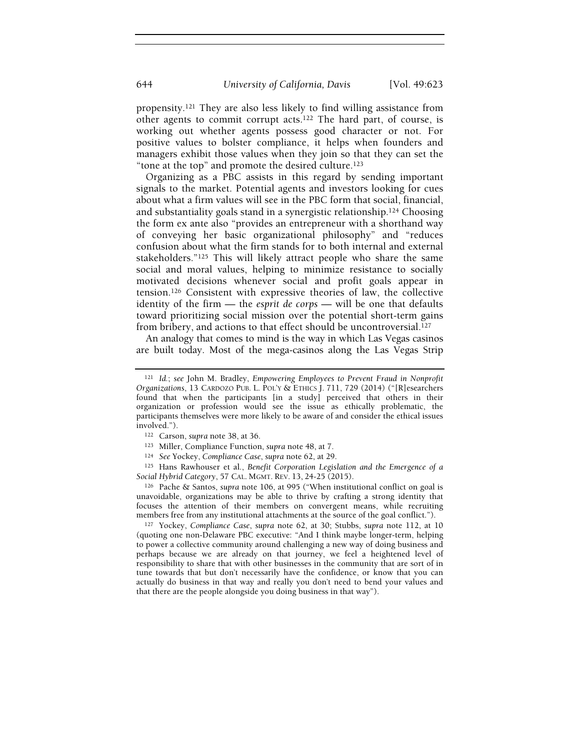propensity.121 They are also less likely to find willing assistance from other agents to commit corrupt acts.122 The hard part, of course, is working out whether agents possess good character or not. For positive values to bolster compliance, it helps when founders and managers exhibit those values when they join so that they can set the "tone at the top" and promote the desired culture.<sup>123</sup>

Organizing as a PBC assists in this regard by sending important signals to the market. Potential agents and investors looking for cues about what a firm values will see in the PBC form that social, financial, and substantiality goals stand in a synergistic relationship.124 Choosing the form ex ante also "provides an entrepreneur with a shorthand way of conveying her basic organizational philosophy" and "reduces confusion about what the firm stands for to both internal and external stakeholders."125 This will likely attract people who share the same social and moral values, helping to minimize resistance to socially motivated decisions whenever social and profit goals appear in tension.126 Consistent with expressive theories of law, the collective identity of the firm — the esprit de corps — will be one that defaults toward prioritizing social mission over the potential short-term gains from bribery, and actions to that effect should be uncontroversial.<sup>127</sup>

An analogy that comes to mind is the way in which Las Vegas casinos are built today. Most of the mega-casinos along the Las Vegas Strip

124 See Yockey, Compliance Case, supra note 62, at 29.

<sup>125</sup> Hans Rawhouser et al., Benefit Corporation Legislation and the Emergence of a Social Hybrid Category, 57 CAL. MGMT. REV. 13, 24-25 (2015).

<sup>126</sup> Pache & Santos, supra note 106, at 995 ("When institutional conflict on goal is unavoidable, organizations may be able to thrive by crafting a strong identity that focuses the attention of their members on convergent means, while recruiting members free from any institutional attachments at the source of the goal conflict.").

127 Yockey, Compliance Case, supra note 62, at 30; Stubbs, supra note 112, at 10 (quoting one non-Delaware PBC executive: "And I think maybe longer-term, helping to power a collective community around challenging a new way of doing business and perhaps because we are already on that journey, we feel a heightened level of responsibility to share that with other businesses in the community that are sort of in tune towards that but don't necessarily have the confidence, or know that you can actually do business in that way and really you don't need to bend your values and that there are the people alongside you doing business in that way").

<sup>121</sup> Id.; see John M. Bradley, Empowering Employees to Prevent Fraud in Nonprofit Organizations, 13 CARDOZO PUB. L. POL'Y & ETHICS J. 711, 729 (2014) ("[R]esearchers found that when the participants [in a study] perceived that others in their organization or profession would see the issue as ethically problematic, the participants themselves were more likely to be aware of and consider the ethical issues involved.").

<sup>122</sup> Carson, supra note 38, at 36.

<sup>123</sup> Miller, Compliance Function, supra note 48, at 7.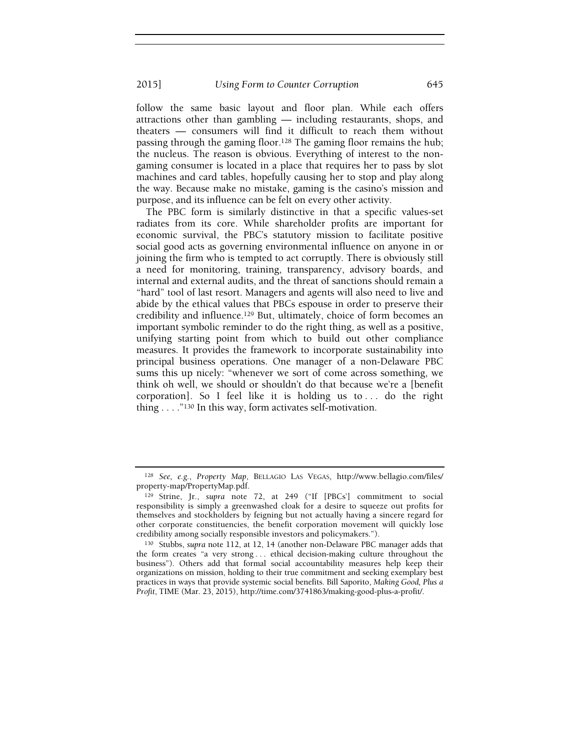follow the same basic layout and floor plan. While each offers attractions other than gambling — including restaurants, shops, and theaters — consumers will find it difficult to reach them without passing through the gaming floor.128 The gaming floor remains the hub; the nucleus. The reason is obvious. Everything of interest to the nongaming consumer is located in a place that requires her to pass by slot machines and card tables, hopefully causing her to stop and play along the way. Because make no mistake, gaming is the casino's mission and purpose, and its influence can be felt on every other activity.

The PBC form is similarly distinctive in that a specific values-set radiates from its core. While shareholder profits are important for economic survival, the PBC's statutory mission to facilitate positive social good acts as governing environmental influence on anyone in or joining the firm who is tempted to act corruptly. There is obviously still a need for monitoring, training, transparency, advisory boards, and internal and external audits, and the threat of sanctions should remain a "hard" tool of last resort. Managers and agents will also need to live and abide by the ethical values that PBCs espouse in order to preserve their credibility and influence.129 But, ultimately, choice of form becomes an important symbolic reminder to do the right thing, as well as a positive, unifying starting point from which to build out other compliance measures. It provides the framework to incorporate sustainability into principal business operations. One manager of a non-Delaware PBC sums this up nicely: "whenever we sort of come across something, we think oh well, we should or shouldn't do that because we're a [benefit corporation]. So I feel like it is holding us to . . . do the right thing . . . ."130 In this way, form activates self-motivation.

<sup>128</sup> See, e.g., Property Map, BELLAGIO LAS VEGAS, http://www.bellagio.com/files/ property-map/PropertyMap.pdf.

<sup>129</sup> Strine, Jr., supra note 72, at 249 ("If [PBCs'] commitment to social responsibility is simply a greenwashed cloak for a desire to squeeze out profits for themselves and stockholders by feigning but not actually having a sincere regard for other corporate constituencies, the benefit corporation movement will quickly lose credibility among socially responsible investors and policymakers.").

<sup>130</sup> Stubbs, supra note 112, at 12, 14 (another non-Delaware PBC manager adds that the form creates "a very strong . . . ethical decision-making culture throughout the business"). Others add that formal social accountability measures help keep their organizations on mission, holding to their true commitment and seeking exemplary best practices in ways that provide systemic social benefits. Bill Saporito, Making Good, Plus a Profit, TIME (Mar. 23, 2015), http://time.com/3741863/making-good-plus-a-profit/.